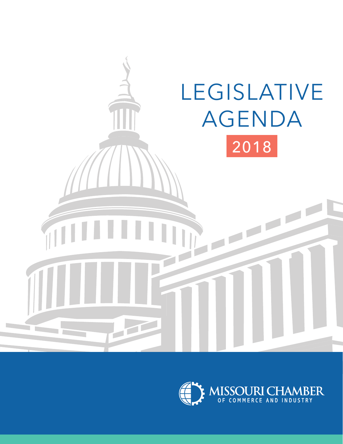

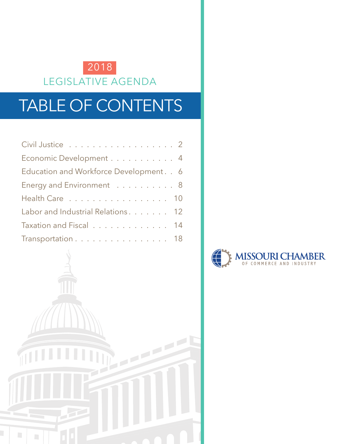

# TABLE OF CONTENTS

| Civil Justice 2                          |  |
|------------------------------------------|--|
| Economic Development 4                   |  |
| Education and Workforce Development. . 6 |  |
| Energy and Environment 8                 |  |
| Health Care 10                           |  |
| Labor and Industrial Relations. 12       |  |
| Taxation and Fiscal 14                   |  |
| Transportation 18                        |  |



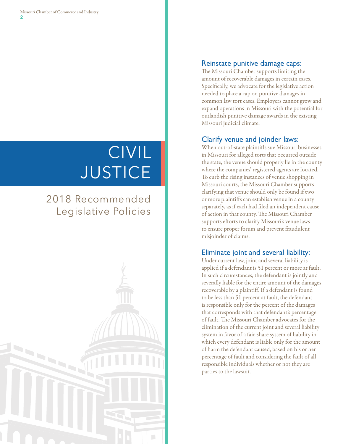# CIVIL **JUSTICE**

# 2018 Recommended Legislative Policies



#### Reinstate punitive damage caps:

The Missouri Chamber supports limiting the amount of recoverable damages in certain cases. Specifically, we advocate for the legislative action needed to place a cap on punitive damages in common law tort cases. Employers cannot grow and expand operations in Missouri with the potential for outlandish punitive damage awards in the existing Missouri judicial climate.

### Clarify venue and joinder laws:

When out-of-state plaintiffs sue Missouri businesses in Missouri for alleged torts that occurred outside the state, the venue should properly lie in the county where the companies' registered agents are located. To curb the rising instances of venue shopping in Missouri courts, the Missouri Chamber supports clarifying that venue should only be found if two or more plaintiffs can establish venue in a county separately, as if each had filed an independent cause of action in that county. The Missouri Chamber supports efforts to clarify Missouri's venue laws to ensure proper forum and prevent fraudulent misjoinder of claims.

# Eliminate joint and several liability:

Under current law, joint and several liability is applied if a defendant is 51 percent or more at fault. In such circumstances, the defendant is jointly and severally liable for the entire amount of the damages recoverable by a plaintiff. If a defendant is found to be less than 51 percent at fault, the defendant is responsible only for the percent of the damages that corresponds with that defendant's percentage of fault. The Missouri Chamber advocates for the elimination of the current joint and several liability system in favor of a fair-share system of liability in which every defendant is liable only for the amount of harm the defendant caused, based on his or her percentage of fault and considering the fault of all responsible individuals whether or not they are parties to the lawsuit.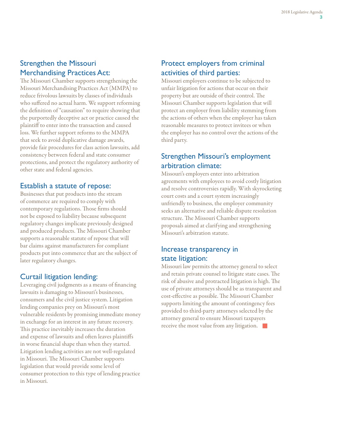# Strengthen the Missouri Merchandising Practices Act:

The Missouri Chamber supports strengthening the Missouri Merchandising Practices Act (MMPA) to reduce frivolous lawsuits by classes of individuals who suffered no actual harm. We support reforming the definition of "causation" to require showing that the purportedly deceptive act or practice caused the plaintiff to enter into the transaction and caused loss. We further support reforms to the MMPA that seek to avoid duplicative damage awards, provide fair procedures for class action lawsuits, add consistency between federal and state consumer protections, and protect the regulatory authority of other state and federal agencies.

#### Establish a statute of repose:

Businesses that put products into the stream of commerce are required to comply with contemporary regulations. Those firms should not be exposed to liability because subsequent regulatory changes implicate previously designed and produced products. The Missouri Chamber supports a reasonable statute of repose that will bar claims against manufacturers for compliant products put into commerce that are the subject of later regulatory changes.

# Curtail litigation lending:

Leveraging civil judgments as a means of financing lawsuits is damaging to Missouri's businesses, consumers and the civil justice system. Litigation lending companies prey on Missouri's most vulnerable residents by promising immediate money in exchange for an interest in any future recovery. This practice inevitably increases the duration and expense of lawsuits and often leaves plaintiffs in worse financial shape than when they started. Litigation lending activities are not well-regulated in Missouri. The Missouri Chamber supports legislation that would provide some level of consumer protection to this type of lending practice in Missouri.

# Protect employers from criminal activities of third parties:

Missouri employers continue to be subjected to unfair litigation for actions that occur on their property but are outside of their control. The Missouri Chamber supports legislation that will protect an employer from liability stemming from the actions of others when the employer has taken reasonable measures to protect invitees or when the employer has no control over the actions of the third party.

# Strengthen Missouri's employment arbitration climate:

Missouri's employers enter into arbitration agreements with employees to avoid costly litigation and resolve controversies rapidly. With skyrocketing court costs and a court system increasingly unfriendly to business, the employer community seeks an alternative and reliable dispute resolution structure. The Missouri Chamber supports proposals aimed at clarifying and strengthening Missouri's arbitration statute.

#### Increase transparency in state litigation:

Missouri law permits the attorney general to select and retain private counsel to litigate state cases. The risk of abusive and protracted litigation is high. The use of private attorneys should be as transparent and cost-effective as possible. The Missouri Chamber supports limiting the amount of contingency fees provided to third-party attorneys selected by the attorney general to ensure Missouri taxpayers receive the most value from any litigation.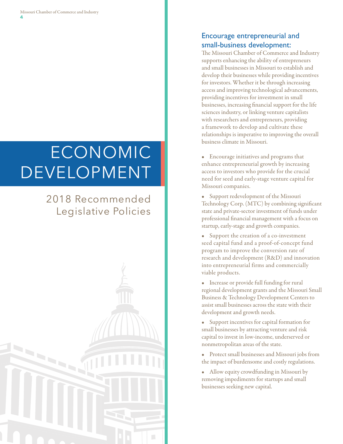# **ECONOMIC** DEVELOPMENT

# 2018 Recommended Legislative Policies



### Encourage entrepreneurial and small-business development:

The Missouri Chamber of Commerce and Industry supports enhancing the ability of entrepreneurs and small businesses in Missouri to establish and develop their businesses while providing incentives for investors. Whether it be through increasing access and improving technological advancements, providing incentives for investment in small businesses, increasing financial support for the life sciences industry, or linking venture capitalists with researchers and entrepreneurs, providing a framework to develop and cultivate these relationships is imperative to improving the overall business climate in Missouri.

• Encourage initiatives and programs that enhance entrepreneurial growth by increasing access to investors who provide for the crucial need for seed and early-stage venture capital for Missouri companies.

• Support redevelopment of the Missouri Technology Corp. (MTC) by combining significant state and private-sector investment of funds under professional financial management with a focus on startup, early-stage and growth companies.

- Support the creation of a co-investment seed capital fund and a proof-of-concept fund program to improve the conversion rate of research and development (R&D) and innovation into entrepreneurial firms and commercially viable products.
- Increase or provide full funding for rural regional development grants and the Missouri Small Business & Technology Development Centers to assist small businesses across the state with their development and growth needs.
- Support incentives for capital formation for small businesses by attracting venture and risk capital to invest in low-income, underserved or nonmetropolitan areas of the state.
- Protect small businesses and Missouri jobs from the impact of burdensome and costly regulations.
- Allow equity crowdfunding in Missouri by removing impediments for startups and small businesses seeking new capital.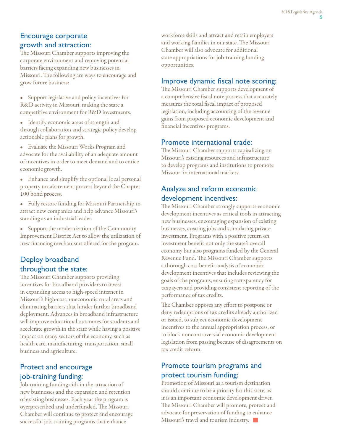#### Encourage corporate growth and attraction:

The Missouri Chamber supports improving the corporate environment and removing potential barriers facing expanding new businesses in Missouri. The following are ways to encourage and grow future business:

- Support legislative and policy incentives for R&D activity in Missouri, making the state a competitive environment for R&D investments.
- Identify economic areas of strength and through collaboration and strategic policy develop actionable plans for growth.
- Evaluate the Missouri Works Program and advocate for the availability of an adequate amount of incentives in order to meet demand and to entice economic growth.
- Enhance and simplify the optional local personal property tax abatement process beyond the Chapter 100 bond process.
- Fully restore funding for Missouri Partnership to attract new companies and help advance Missouri's standing as an industrial leader.

• Support the modernization of the Community Improvement District Act to allow the utilization of new financing mechanisms offered for the program.

#### Deploy broadband throughout the state:

The Missouri Chamber supports providing incentives for broadband providers to invest in expanding access to high-speed internet in Missouri's high-cost, uneconomic rural areas and eliminating barriers that hinder further broadband deployment. Advances in broadband infrastructure will improve educational outcomes for students and accelerate growth in the state while having a positive impact on many sectors of the economy, such as health care, manufacturing, transportation, small business and agriculture.

### Protect and encourage job-training funding:

Job-training funding aids in the attraction of new businesses and the expansion and retention of existing businesses. Each year the program is overprescribed and underfunded. The Missouri Chamber will continue to protect and encourage successful job-training programs that enhance

workforce skills and attract and retain employers and working families in our state. The Missouri Chamber will also advocate for additional state appropriations for job-training funding opportunities.

#### Improve dynamic fiscal note scoring:

The Missouri Chamber supports development of a comprehensive fiscal note process that accurately measures the total fiscal impact of proposed legislation, including accounting of the revenue gains from proposed economic development and financial incentives programs.

#### Promote international trade:

The Missouri Chamber supports capitalizing on Missouri's existing resources and infrastructure to develop programs and institutions to promote Missouri in international markets.

#### Analyze and reform economic development incentives:

The Missouri Chamber strongly supports economic development incentives as critical tools in attracting new businesses, encouraging expansion of existing businesses, creating jobs and stimulating private investment. Programs with a positive return on investment benefit not only the state's overall economy but also programs funded by the General Revenue Fund. The Missouri Chamber supports a thorough cost-benefit analysis of economic development incentives that includes reviewing the goals of the programs, ensuring transparency for taxpayers and providing consistent reporting of the performance of tax credits.

The Chamber opposes any effort to postpone or deny redemptions of tax credits already authorized or issued, to subject economic development incentives to the annual appropriation process, or to block noncontroversial economic development legislation from passing because of disagreements on tax credit reform.

#### Promote tourism programs and protect tourism funding:

Promotion of Missouri as a tourism destination should continue to be a priority for this state, as it is an important economic development driver. The Missouri Chamber will promote, protect and advocate for preservation of funding to enhance Missouri's travel and tourism industry.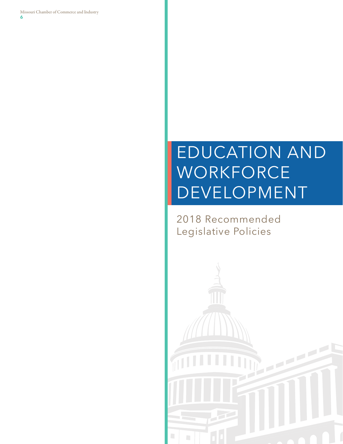Missouri Chamber of Commerce and Industry **6**

# EDUCATION AND **WORKFORCE** DEVELOPMENT

2018 Recommended Legislative Policies

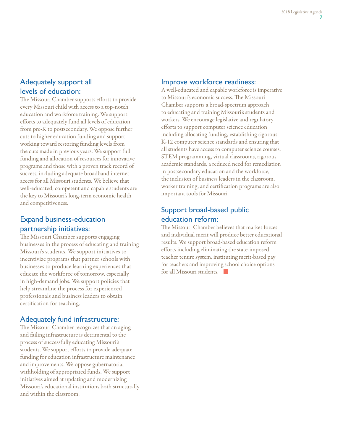#### Adequately support all levels of education:

The Missouri Chamber supports efforts to provide every Missouri child with access to a top-notch education and workforce training. We support efforts to adequately fund all levels of education from pre-K to postsecondary. We oppose further cuts to higher education funding and support working toward restoring funding levels from the cuts made in previous years. We support full funding and allocation of resources for innovative programs and those with a proven track record of success, including adequate broadband internet access for all Missouri students. We believe that well-educated, competent and capable students are the key to Missouri's long-term economic health and competitiveness.

# Expand business-education partnership initiatives:

The Missouri Chamber supports engaging businesses in the process of educating and training Missouri's students. We support initiatives to incentivize programs that partner schools with businesses to produce learning experiences that educate the workforce of tomorrow, especially in high-demand jobs. We support policies that help streamline the process for experienced professionals and business leaders to obtain certification for teaching.

#### Adequately fund infrastructure:

The Missouri Chamber recognizes that an aging and failing infrastructure is detrimental to the process of successfully educating Missouri's students. We support efforts to provide adequate funding for education infrastructure maintenance and improvements. We oppose gubernatorial withholding of appropriated funds. We support initiatives aimed at updating and modernizing Missouri's educational institutions both structurally and within the classroom.

#### Improve workforce readiness:

A well-educated and capable workforce is imperative to Missouri's economic success. The Missouri Chamber supports a broad-spectrum approach to educating and training Missouri's students and workers. We encourage legislative and regulatory efforts to support computer science education including allocating funding, establishing rigorous K-12 computer science standards and ensuring that all students have access to computer science courses. STEM programming, virtual classrooms, rigorous academic standards, a reduced need for remediation in postsecondary education and the workforce, the inclusion of business leaders in the classroom, worker training, and certification programs are also important tools for Missouri.

# Support broad-based public education reform:

The Missouri Chamber believes that market forces and individual merit will produce better educational results. We support broad-based education reform efforts including eliminating the state-imposed teacher tenure system, instituting merit-based pay for teachers and improving school choice options for all Missouri students.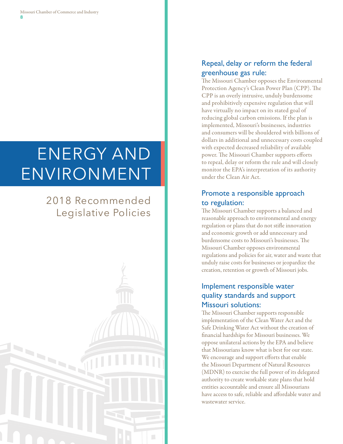# ENERGY AND ENVIRONMENT

# 2018 Recommended Legislative Policies



# Repeal, delay or reform the federal greenhouse gas rule:

The Missouri Chamber opposes the Environmental Protection Agency's Clean Power Plan (CPP). The CPP is an overly intrusive, unduly burdensome and prohibitively expensive regulation that will have virtually no impact on its stated goal of reducing global carbon emissions. If the plan is implemented, Missouri's businesses, industries and consumers will be shouldered with billions of dollars in additional and unnecessary costs coupled with expected decreased reliability of available power. The Missouri Chamber supports efforts to repeal, delay or reform the rule and will closely monitor the EPA's interpretation of its authority under the Clean Air Act.

# Promote a responsible approach to regulation:

The Missouri Chamber supports a balanced and reasonable approach to environmental and energy regulation or plans that do not stifle innovation and economic growth or add unnecessary and burdensome costs to Missouri's businesses. The Missouri Chamber opposes environmental regulations and policies for air, water and waste that unduly raise costs for businesses or jeopardize the creation, retention or growth of Missouri jobs.

# Implement responsible water quality standards and support Missouri solutions:

The Missouri Chamber supports responsible implementation of the Clean Water Act and the Safe Drinking Water Act without the creation of financial hardships for Missouri businesses. We oppose unilateral actions by the EPA and believe that Missourians know what is best for our state. We encourage and support efforts that enable the Missouri Department of Natural Resources (MDNR) to exercise the full power of its delegated authority to create workable state plans that hold entities accountable and ensure all Missourians have access to safe, reliable and affordable water and wastewater service.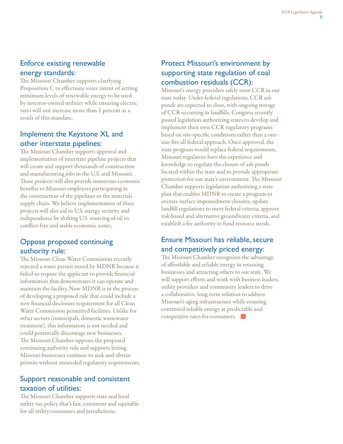## Enforce existing renewable energy standards:

The Missouri Chamber supports clarifying Proposition C to effectuate voter intent of setting minimum levels of renewable energy to be used by investor-owned utilities while ensuring electric rates will not increase more than 1 percent as a result of this mandate.

## Implement the Keystone XL and other interstate pipelines:

The Missouri Chamber supports approval and implementation of interstate pipeline projects that will create and support thousands of construction and manufacturing jobs in the U.S. and Missouri. These projects will also provide numerous economic benefits to Missouri employers participating in the construction of the pipelines or the materials supply chain. We believe implementation of these projects will also aid in U.S. energy security and independence by shifting U.S. sourcing of oil to conflict-free and stable economic zones.

### Oppose proposed continuing authority rule:

The Missouri Clean Water Commission recently rejected a water permit issued by MDNR because it failed to require the applicant to provide financial information that demonstrates it can operate and maintain the facility. Now MDNR is in the process of developing a proposed rule that could include a new financial disclosure requirement for all Clean Water Commission permitted facilities. Unlike for other sectors (municipals, domestic wastewater treatment), this information is not needed and could potentially discourage new businesses. The Missouri Chamber opposes the proposed continuing authority rule and supports letting Missouri businesses continue to seek and obtain permits without unneeded regulatory requirements.

### Support reasonable and consistent taxation of utilities:

The Missouri Chamber supports state and local utility tax policy that's fair, consistent and equitable for all utility consumers and jurisdictions.

#### Protect Missouri's environment by supporting state regulation of coal combustion residuals (CCR):

Missouri's energy providers safely store CCR in our state today. Under federal regulations, CCR ash ponds are expected to close, with ongoing storage of CCR occurring in landfills. Congress recently passed legislation authorizing states to develop and implement their own CCR regulatory programs based on site-specific conditions rather than a onesize-fits-all federal approach. Once approved, the state program would replace federal requirements. Missouri regulators have the experience and knowledge to regulate the closure of ash ponds located within the state and to provide appropriate protection for our state's environment. The Missouri Chamber supports legislation authorizing a state plan that enables MDNR to create a program to oversee surface impoundment closures, update landfill regulations to meet federal criteria, approve risk-based and alternative groundwater criteria, and establish a fee authority to fund resource needs.

# Ensure Missouri has reliable, secure and competitively priced energy:

The Missouri Chamber recognizes the advantage of affordable and reliable energy in retaining businesses and attracting others to our state. We will support efforts and work with business leaders, utility providers and community leaders to drive a collaborative, long-term solution to address Missouri's aging infrastructure while ensuring continued reliable energy at predictable and competitive rates for consumers.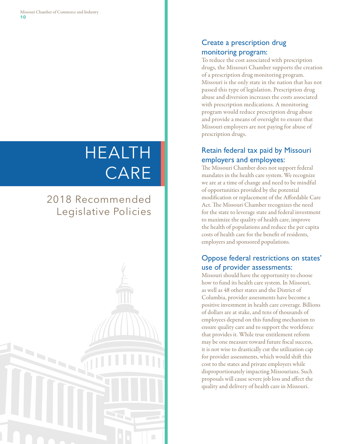# HEALTH CARE

# 2018 Recommended Legislative Policies



# Create a prescription drug monitoring program:

To reduce the cost associated with prescription drugs, the Missouri Chamber supports the creation of a prescription drug monitoring program. Missouri is the only state in the nation that has not passed this type of legislation. Prescription drug abuse and diversion increases the costs associated with prescription medications. A monitoring program would reduce prescription drug abuse and provide a means of oversight to ensure that Missouri employers are not paying for abuse of prescription drugs.

# Retain federal tax paid by Missouri employers and employees:

The Missouri Chamber does not support federal mandates in the health care system. We recognize we are at a time of change and need to be mindful of opportunities provided by the potential modification or replacement of the Affordable Care Act. The Missouri Chamber recognizes the need for the state to leverage state and federal investment to maximize the quality of health care, improve the health of populations and reduce the per capita costs of health care for the benefit of residents, employers and sponsored populations.

### Oppose federal restrictions on states' use of provider assessments:

Missouri should have the opportunity to choose how to fund its health care system. In Missouri, as well as 48 other states and the District of Columbia, provider assessments have become a positive investment in health care coverage. Billions of dollars are at stake, and tens of thousands of employees depend on this funding mechanism to ensure quality care and to support the workforce that provides it. While true entitlement reform may be one measure toward future fiscal success, it is not wise to drastically cut the utilization cap for provider assessments, which would shift this cost to the states and private employers while disproportionately impacting Missourians. Such proposals will cause severe job loss and affect the quality and delivery of health care in Missouri.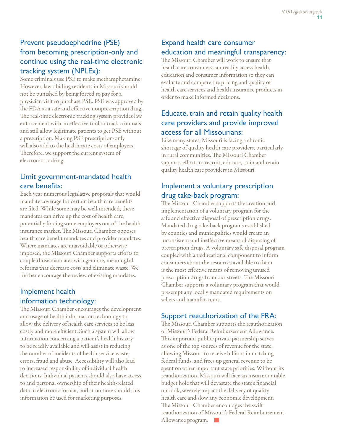# Prevent pseudoephedrine (PSE) from becoming prescription-only and continue using the real-time electronic tracking system (NPLEx):

Some criminals use PSE to make methamphetamine. However, law-abiding residents in Missouri should not be punished by being forced to pay for a physician visit to purchase PSE. PSE was approved by the FDA as a safe and effective nonprescription drug. The real-time electronic tracking system provides law enforcement with an effective tool to track criminals and still allow legitimate patients to get PSE without a prescription. Making PSE prescription-only will also add to the health care costs of employers. Therefore, we support the current system of electronic tracking.

# Limit government-mandated health care benefits:

Each year numerous legislative proposals that would mandate coverage for certain health care benefits are filed. While some may be well-intended, these mandates can drive up the cost of health care, potentially forcing some employers out of the health insurance market. The Missouri Chamber opposes health care benefit mandates and provider mandates. Where mandates are unavoidable or otherwise imposed, the Missouri Chamber supports efforts to couple those mandates with genuine, meaningful reforms that decrease costs and eliminate waste. We further encourage the review of existing mandates.

### Implement health information technology:

The Missouri Chamber encourages the development and usage of health information technology to allow the delivery of health care services to be less costly and more efficient. Such a system will allow information concerning a patient's health history to be readily available and will assist in reducing the number of incidents of health service waste, errors, fraud and abuse. Accessibility will also lead to increased responsibility of individual health decisions. Individual patients should also have access to and personal ownership of their health-related data in electronic format, and at no time should this information be used for marketing purposes.

# Expand health care consumer education and meaningful transparency:

The Missouri Chamber will work to ensure that health care consumers can readily access health education and consumer information so they can evaluate and compare the pricing and quality of health care services and health insurance products in order to make informed decisions.

# Educate, train and retain quality health care providers and provide improved access for all Missourians:

Like many states, Missouri is facing a chronic shortage of quality health care providers, particularly in rural communities. The Missouri Chamber supports efforts to recruit, educate, train and retain quality health care providers in Missouri.

# Implement a voluntary prescription drug take-back program:

The Missouri Chamber supports the creation and implementation of a voluntary program for the safe and effective disposal of prescription drugs. Mandated drug take-back programs established by counties and municipalities would create an inconsistent and ineffective means of disposing of prescription drugs. A voluntary safe disposal program coupled with an educational component to inform consumers about the resources available to them is the most effective means of removing unused prescription drugs from our streets. The Missouri Chamber supports a voluntary program that would pre-empt any locally mandated requirements on sellers and manufacturers.

# Support reauthorization of the FRA:

The Missouri Chamber supports the reauthorization of Missouri's Federal Reimbursement Allowance. This important public/private partnership serves as one of the top sources of revenue for the state, allowing Missouri to receive billions in matching federal funds, and frees up general revenue to be spent on other important state priorities. Without its reauthorization, Missouri will face an insurmountable budget hole that will devastate the state's financial outlook, severely impact the delivery of quality health care and slow any economic development. The Missouri Chamber encourages the swift reauthorization of Missouri's Federal Reimbursement Allowance program.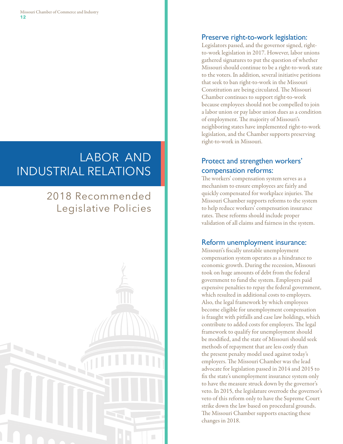# LABOR AND INDUSTRIAL RELATIONS

# 2018 Recommended Legislative Policies



# Preserve right-to-work legislation:

Legislators passed, and the governor signed, rightto-work legislation in 2017. However, labor unions gathered signatures to put the question of whether Missouri should continue to be a right-to-work state to the voters. In addition, several initiative petitions that seek to ban right-to-work in the Missouri Constitution are being circulated. The Missouri Chamber continues to support right-to-work because employees should not be compelled to join a labor union or pay labor union dues as a condition of employment. The majority of Missouri's neighboring states have implemented right-to-work legislation, and the Chamber supports preserving right-to-work in Missouri.

# Protect and strengthen workers' compensation reforms:

The workers' compensation system serves as a mechanism to ensure employees are fairly and quickly compensated for workplace injuries. The Missouri Chamber supports reforms to the system to help reduce workers' compensation insurance rates. These reforms should include proper validation of all claims and fairness in the system.

#### Reform unemployment insurance:

Missouri's fiscally unstable unemployment compensation system operates as a hindrance to economic growth. During the recession, Missouri took on huge amounts of debt from the federal government to fund the system. Employers paid expensive penalties to repay the federal government, which resulted in additional costs to employers. Also, the legal framework by which employees become eligible for unemployment compensation is fraught with pitfalls and case law holdings, which contribute to added costs for employers. The legal framework to qualify for unemployment should be modified, and the state of Missouri should seek methods of repayment that are less costly than the present penalty model used against today's employers. The Missouri Chamber was the lead advocate for legislation passed in 2014 and 2015 to fix the state's unemployment insurance system only to have the measure struck down by the governor's veto. In 2015, the legislature overrode the governor's veto of this reform only to have the Supreme Court strike down the law based on procedural grounds. The Missouri Chamber supports enacting these changes in 2018.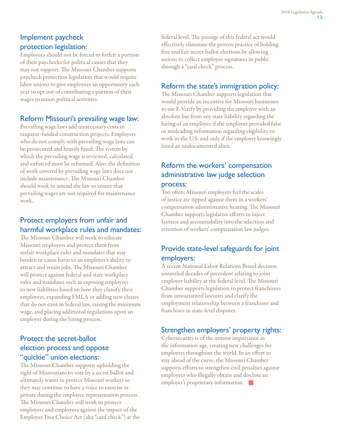#### Implement paycheck protection legislation:

Employees should not be forced to forfeit a portion of their paychecks for political causes that they may not support. The Missouri Chamber supports paycheck protection legislation that would require labor unions to give employees an opportunity each year to opt out of contributing a portion of their wages to union political activities.

#### Reform Missouri's prevailing wage law:

Prevailing wage laws add unnecessary costs to taxpayer-funded construction projects. Employers who do not comply with prevailing wage laws can be prosecuted and heavily fined. The system by which the prevailing wage is reviewed, calculated and enforced must be reformed. Also, the definition of work covered by prevailing wage laws does not include maintenance. The Missouri Chamber should work to amend the law to ensure that prevailing wages are not required for maintenance work.

# Protect employers from unfair and harmful workplace rules and mandates:

The Missouri Chamber will work to educate Missouri employers and protect them from unfair workplace rules and mandates that may burden or cause harm to an employer's ability to attract and retain jobs. The Missouri Chamber will protect against federal and state workplace rules and mandates such as exposing employers to new liabilities based on how they classify their employees, expanding FMLA or adding new classes that do not exist in federal law, raising the minimum wage, and placing additional regulations upon an employer during the hiring process.

#### Protect the secret-ballot election process and oppose "quickie" union elections:

The Missouri Chamber supports upholding the right of Missourians to vote by a secret ballot and ultimately wants to protect Missouri workers so they may continue to have a voice to exercise in private during the employee representation process. The Missouri Chamber will work to protect employers and employees against the impact of the Employee Free Choice Act (aka "card check") at the federal level. The passage of this federal act would effectively eliminate the proven practice of holding free and fair secret-ballot elections by allowing unions to collect employee signatures in public through a "card check" process.

#### Reform the state's immigration policy:

The Missouri Chamber supports legislation that would provide an incentive for Missouri businesses to use E-Verify by providing the employer with an absolute bar from any state liability regarding the hiring of an employee if the employee provided false or misleading information regarding eligibility to work in the U.S. and only if the employer knowingly hired an undocumented alien.

# Reform the workers' compensation administrative law judge selection process:

Too often, Missouri employers feel the scales of justice are tipped against them in a workers' compensation administrative hearing. The Missouri Chamber supports legislative efforts to inject fairness and accountability into the selection and retention of workers' compensation law judges.

#### Provide state-level safeguards for joint employers:

A recent National Labor Relations Board decision unraveled decades of precedent relating to joint employer liability at the federal level. The Missouri Chamber supports legislation to protect franchisors from unwarranted lawsuits and clarify the employment relationship between a franchisor and franchisee in state-level disputes.

#### Strengthen employers' property rights:

Cybersecurity is of the utmost importance in the information age, creating new challenges for employers throughout the world. In an effort to stay ahead of the curve, the Missouri Chamber supports efforts to strengthen civil penalties against employees who illegally obtain and disclose an employer's proprietary information.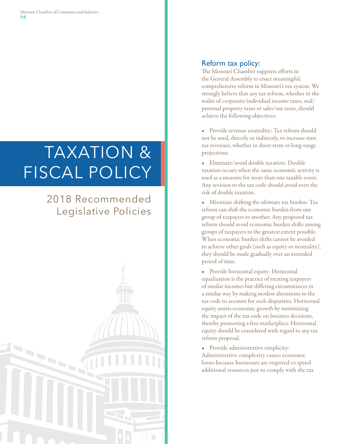# TAXATION & FISCAL POLICY

# 2018 Recommended Legislative Policies



#### Reform tax policy:

The Missouri Chamber supports efforts in the General Assembly to enact meaningful, comprehensive reform in Missouri's tax system. We strongly believe that any tax reform, whether in the realm of corporate/individual income taxes, real/ personal property taxes or sales/use taxes, should achieve the following objectives:

- Provide revenue neutrality: Tax reform should not be used, directly or indirectly, to increase state tax revenues, whether in short-term or long-range projections.
- Eliminate/avoid double taxation: Double taxation occurs when the same economic activity is used as a measure for more than one taxable event. Any revision to the tax code should avoid even the risk of double taxation.

• Minimize shifting the ultimate tax burden: Tax reform can shift the economic burden from one group of taxpayers to another. Any proposed tax reform should avoid economic burden shifts among groups of taxpayers to the greatest extent possible. When economic burden shifts cannot be avoided to achieve other goals (such as equity or neutrality), they should be made gradually over an extended period of time.

• Provide horizontal equity: Horizontal equalization is the practice of treating taxpayers of similar incomes but differing circumstances in a similar way by making modest alterations to the tax code to account for such disparities. Horizontal equity assists economic growth by minimizing the impact of the tax code on business decisions, thereby promoting a free marketplace. Horizontal equity should be considered with regard to any tax reform proposal.

• Provide administrative simplicity: Administrative complexity causes economic losses because businesses are required to spend additional resources just to comply with the tax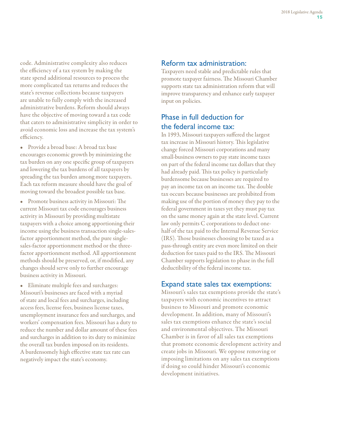code. Administrative complexity also reduces the efficiency of a tax system by making the state spend additional resources to process the more complicated tax returns and reduces the state's revenue collections because taxpayers are unable to fully comply with the increased administrative burdens. Reform should always have the objective of moving toward a tax code that caters to administrative simplicity in order to avoid economic loss and increase the tax system's efficiency.

• Provide a broad base: A broad tax base encourages economic growth by minimizing the tax burden on any one specific group of taxpayers and lowering the tax burdens of all taxpayers by spreading the tax burden among more taxpayers. Each tax reform measure should have the goal of moving toward the broadest possible tax base.

• Promote business activity in Missouri: The current Missouri tax code encourages business activity in Missouri by providing multistate taxpayers with a choice among apportioning their income using the business transaction single-salesfactor apportionment method, the pure singlesales-factor apportionment method or the threefactor apportionment method. All apportionment methods should be preserved, or, if modified, any changes should serve only to further encourage business activity in Missouri.

• Eliminate multiple fees and surcharges: Missouri's businesses are faced with a myriad of state and local fees and surcharges, including access fees, license fees, business license taxes, unemployment insurance fees and surcharges, and workers' compensation fees. Missouri has a duty to reduce the number and dollar amount of these fees and surcharges in addition to its duty to minimize the overall tax burden imposed on its residents. A burdensomely high effective state tax rate can negatively impact the state's economy.

#### Reform tax administration:

Taxpayers need stable and predictable rules that promote taxpayer fairness. The Missouri Chamber supports state tax administration reform that will improve transparency and enhance early taxpayer input on policies.

#### Phase in full deduction for the federal income tax:

In 1993, Missouri taxpayers suffered the largest tax increase in Missouri history. This legislative change forced Missouri corporations and many small-business owners to pay state income taxes on part of the federal income tax dollars that they had already paid. This tax policy is particularly burdensome because businesses are required to pay an income tax on an income tax. The double tax occurs because businesses are prohibited from making use of the portion of money they pay to the federal government in taxes yet they must pay tax on the same money again at the state level. Current law only permits C corporations to deduct onehalf of the tax paid to the Internal Revenue Service (IRS). Those businesses choosing to be taxed as a pass-through entity are even more limited on their deduction for taxes paid to the IRS. The Missouri Chamber supports legislation to phase in the full deductibility of the federal income tax.

#### Expand state sales tax exemptions:

Missouri's sales tax exemptions provide the state's taxpayers with economic incentives to attract business to Missouri and promote economic development. In addition, many of Missouri's sales tax exemptions enhance the state's social and environmental objectives. The Missouri Chamber is in favor of all sales tax exemptions that promote economic development activity and create jobs in Missouri. We oppose removing or imposing limitations on any sales tax exemptions if doing so could hinder Missouri's economic development initiatives.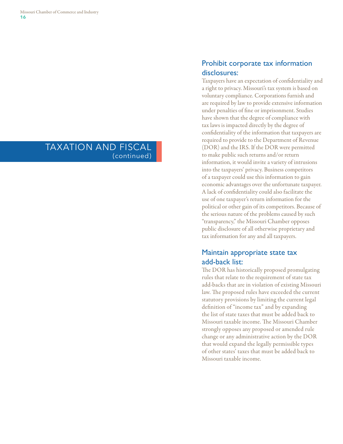# TAXATION AND FISCAL (continued)

#### Prohibit corporate tax information disclosures:

Taxpayers have an expectation of confidentiality and a right to privacy. Missouri's tax system is based on voluntary compliance. Corporations furnish and are required by law to provide extensive information under penalties of fine or imprisonment. Studies have shown that the degree of compliance with tax laws is impacted directly by the degree of confidentiality of the information that taxpayers are required to provide to the Department of Revenue (DOR) and the IRS. If the DOR were permitted to make public such returns and/or return information, it would invite a variety of intrusions into the taxpayers' privacy. Business competitors of a taxpayer could use this information to gain economic advantages over the unfortunate taxpayer. A lack of confidentiality could also facilitate the use of one taxpayer's return information for the political or other gain of its competitors. Because of the serious nature of the problems caused by such "transparency," the Missouri Chamber opposes public disclosure of all otherwise proprietary and tax information for any and all taxpayers.

#### Maintain appropriate state tax add-back list:

The DOR has historically proposed promulgating rules that relate to the requirement of state tax add-backs that are in violation of existing Missouri law. The proposed rules have exceeded the current statutory provisions by limiting the current legal definition of "income tax" and by expanding the list of state taxes that must be added back to Missouri taxable income. The Missouri Chamber strongly opposes any proposed or amended rule change or any administrative action by the DOR that would expand the legally permissible types of other states' taxes that must be added back to Missouri taxable income.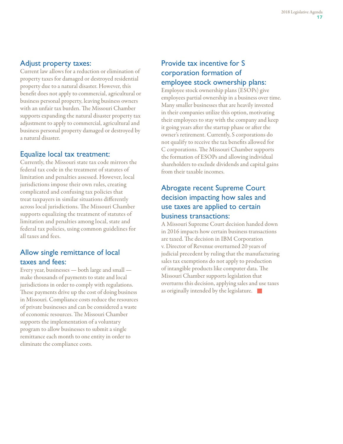#### Adjust property taxes:

Current law allows for a reduction or elimination of property taxes for damaged or destroyed residential property due to a natural disaster. However, this benefit does not apply to commercial, agricultural or business personal property, leaving business owners with an unfair tax burden. The Missouri Chamber supports expanding the natural disaster property tax adjustment to apply to commercial, agricultural and business personal property damaged or destroyed by a natural disaster.

#### Equalize local tax treatment:

Currently, the Missouri state tax code mirrors the federal tax code in the treatment of statutes of limitation and penalties assessed. However, local jurisdictions impose their own rules, creating complicated and confusing tax policies that treat taxpayers in similar situations differently across local jurisdictions. The Missouri Chamber supports equalizing the treatment of statutes of limitation and penalties among local, state and federal tax policies, using common guidelines for all taxes and fees.

# Allow single remittance of local taxes and fees:

Every year, businesses — both large and small make thousands of payments to state and local jurisdictions in order to comply with regulations. These payments drive up the cost of doing business in Missouri. Compliance costs reduce the resources of private businesses and can be considered a waste of economic resources. The Missouri Chamber supports the implementation of a voluntary program to allow businesses to submit a single remittance each month to one entity in order to eliminate the compliance costs.

#### Provide tax incentive for S corporation formation of employee stock ownership plans:

Employee stock ownership plans (ESOPs) give employees partial ownership in a business over time. Many smaller businesses that are heavily invested in their companies utilize this option, motivating their employees to stay with the company and keep it going years after the startup phase or after the owner's retirement. Currently, S corporations do not qualify to receive the tax benefits allowed for C corporations. The Missouri Chamber supports the formation of ESOPs and allowing individual shareholders to exclude dividends and capital gains from their taxable incomes.

# Abrogate recent Supreme Court decision impacting how sales and use taxes are applied to certain business transactions:

A Missouri Supreme Court decision handed down in 2016 impacts how certain business transactions are taxed. The decision in IBM Corporation v. Director of Revenue overturned 20 years of judicial precedent by ruling that the manufacturing sales tax exemptions do not apply to production of intangible products like computer data. The Missouri Chamber supports legislation that overturns this decision, applying sales and use taxes as originally intended by the legislature.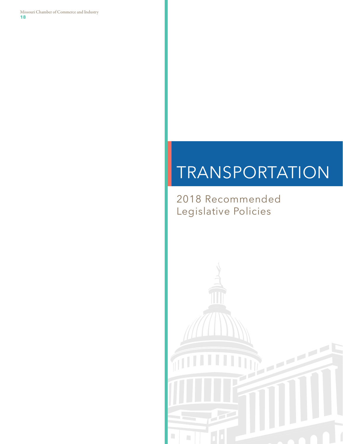Missouri Chamber of Commerce and Industry **18**

# TRANSPORTATION

2018 Recommended Legislative Policies

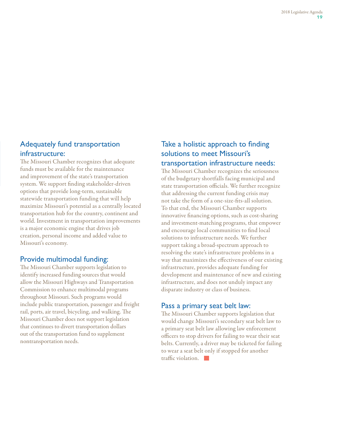#### Adequately fund transportation infrastructure:

The Missouri Chamber recognizes that adequate funds must be available for the maintenance and improvement of the state's transportation system. We support finding stakeholder-driven options that provide long-term, sustainable statewide transportation funding that will help maximize Missouri's potential as a centrally located transportation hub for the country, continent and world. Investment in transportation improvements is a major economic engine that drives job creation, personal income and added value to Missouri's economy.

#### Provide multimodal funding:

The Missouri Chamber supports legislation to identify increased funding sources that would allow the Missouri Highways and Transportation Commission to enhance multimodal programs throughout Missouri. Such programs would include public transportation, passenger and freight rail, ports, air travel, bicycling, and walking. The Missouri Chamber does not support legislation that continues to divert transportation dollars out of the transportation fund to supplement nontransportation needs.

#### Take a holistic approach to finding solutions to meet Missouri's transportation infrastructure needs:

The Missouri Chamber recognizes the seriousness of the budgetary shortfalls facing municipal and state transportation officials. We further recognize that addressing the current funding crisis may not take the form of a one-size-fits-all solution. To that end, the Missouri Chamber supports innovative financing options, such as cost-sharing and investment-matching programs, that empower and encourage local communities to find local solutions to infrastructure needs. We further support taking a broad-spectrum approach to resolving the state's infrastructure problems in a way that maximizes the effectiveness of our existing infrastructure, provides adequate funding for development and maintenance of new and existing infrastructure, and does not unduly impact any disparate industry or class of business.

#### Pass a primary seat belt law:

The Missouri Chamber supports legislation that would change Missouri's secondary seat belt law to a primary seat belt law allowing law enforcement officers to stop drivers for failing to wear their seat belts. Currently, a driver may be ticketed for failing to wear a seat belt only if stopped for another traffic violation.